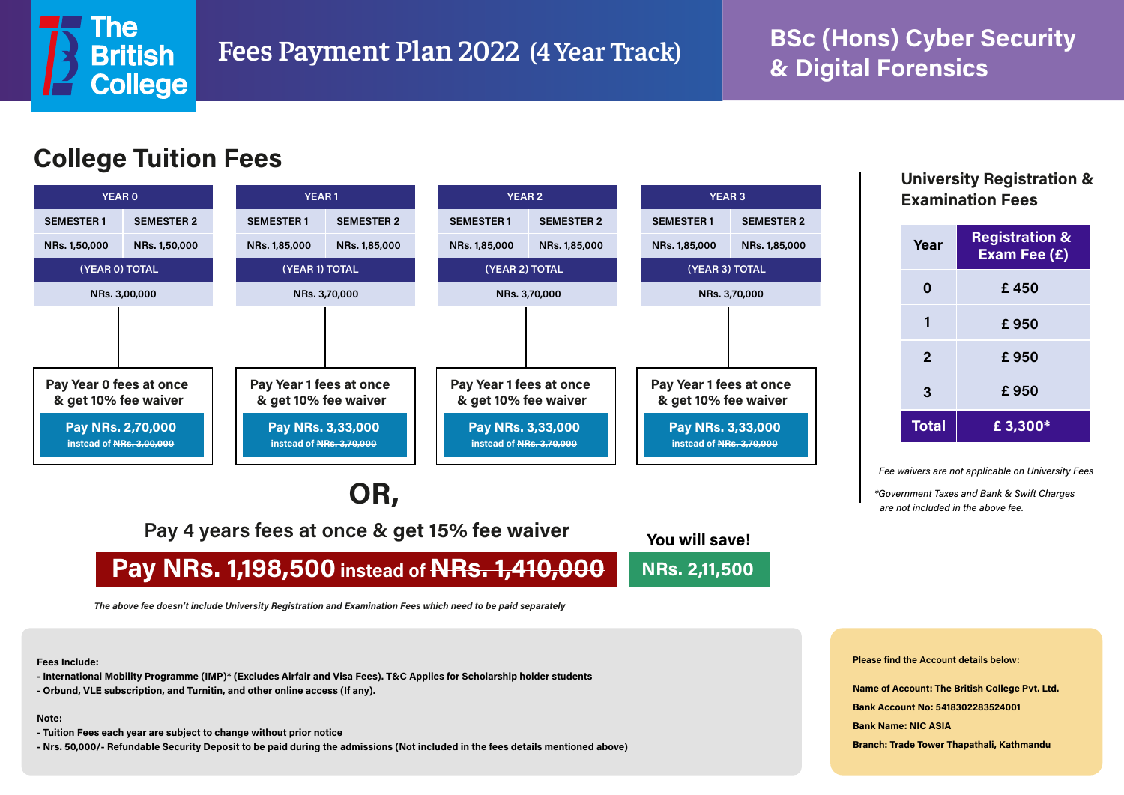

# **& Digital Forensics**



## **OR,**

**Pay 4 years fees at once & get 15% fee waiver**

### **Pay NRs. 1,198,500 instead of NRs. 1,410,000 You will save! NRs. 2,11,500**

*The above fee doesn't include University Registration and Examination Fees which need to be paid separately*

**Fees Include:**

- **International Mobility Programme (IMP)\* (Excludes Airfair and Visa Fees). T&C Applies for Scholarship holder students**
- **Orbund, VLE subscription, and Turnitin, and other online access (If any).**

### **Note:**

- **Tuition Fees each year are subject to change without prior notice**
- **Nrs. 50,000/- Refundable Security Deposit to be paid during the admissions (Not included in the fees details mentioned above)**

## **Examination Fees**

| Year         | <b>Registration &amp;</b><br>Exam Fee (£) |
|--------------|-------------------------------------------|
| 0            | £450                                      |
|              | £950                                      |
| $\mathbf{2}$ | £950                                      |
| 3            | £950                                      |
| <b>Total</b> | £ $3,300*$                                |

*Fee waivers are not applicable on University Fees*

*\*Government Taxes and Bank & Swift Charges are not included in the above fee.*

**Please find the Account details below:**

**Name of Account: The British College Pvt. Ltd.**

**Bank Account No: 5418302283524001**

**Bank Name: NIC ASIA**

**Branch: Trade Tower Thapathali, Kathmandu**